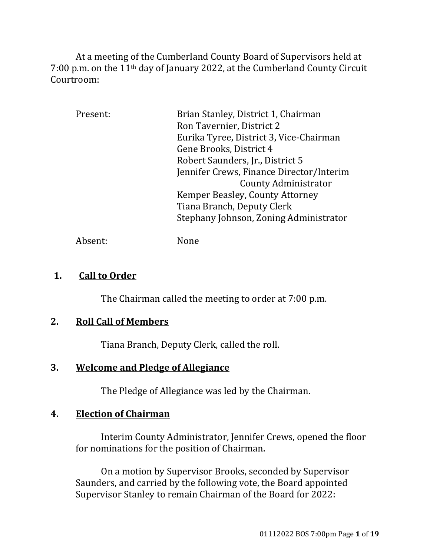At a meeting of the Cumberland County Board of Supervisors held at 7:00 p.m. on the 11th day of January 2022, at the Cumberland County Circuit Courtroom:

| Present: | Brian Stanley, District 1, Chairman      |
|----------|------------------------------------------|
|          | Ron Tavernier, District 2                |
|          | Eurika Tyree, District 3, Vice-Chairman  |
|          | Gene Brooks, District 4                  |
|          | Robert Saunders, Jr., District 5         |
|          | Jennifer Crews, Finance Director/Interim |
|          | <b>County Administrator</b>              |
|          | Kemper Beasley, County Attorney          |
|          | Tiana Branch, Deputy Clerk               |
|          | Stephany Johnson, Zoning Administrator   |
|          |                                          |

Absent: None

### **1. Call to Order**

The Chairman called the meeting to order at 7:00 p.m.

## **2. Roll Call of Members**

Tiana Branch, Deputy Clerk, called the roll.

## **3. Welcome and Pledge of Allegiance**

The Pledge of Allegiance was led by the Chairman.

## **4. Election of Chairman**

Interim County Administrator, Jennifer Crews, opened the floor for nominations for the position of Chairman.

On a motion by Supervisor Brooks, seconded by Supervisor Saunders, and carried by the following vote, the Board appointed Supervisor Stanley to remain Chairman of the Board for 2022: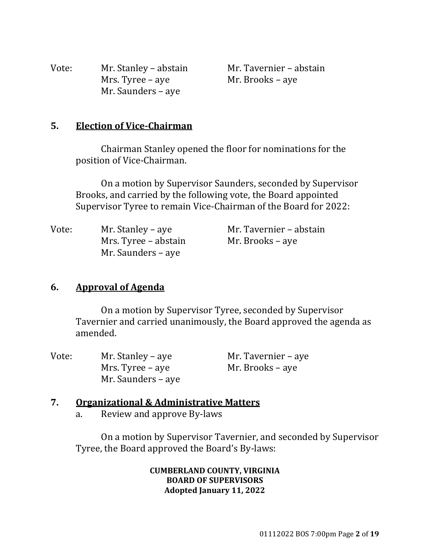| Vote: | Mr. Stanley – abstain |
|-------|-----------------------|
|       | Mrs. Tyree – aye      |
|       | Mr. Saunders – aye    |

Mr. Tavernier – abstain Mr. Brooks – aye

### **5. Election of Vice‐Chairman**

Chairman Stanley opened the floor for nominations for the position of Vice-Chairman.

On a motion by Supervisor Saunders, seconded by Supervisor Brooks, and carried by the following vote, the Board appointed Supervisor Tyree to remain Vice-Chairman of the Board for 2022:

| Vote: | Mr. Stanley – aye    | Mr. Tavernier – abstain |
|-------|----------------------|-------------------------|
|       | Mrs. Tyree – abstain | Mr. Brooks – aye        |
|       | Mr. Saunders – aye   |                         |

### **6. Approval of Agenda**

On a motion by Supervisor Tyree, seconded by Supervisor Tavernier and carried unanimously, the Board approved the agenda as amended.

| Vote: | Mr. Stanley – aye  | Mr. Tavernier – aye |
|-------|--------------------|---------------------|
|       | Mrs. Tyree – aye   | Mr. Brooks – aye    |
|       | Mr. Saunders – aye |                     |

### **7. Organizational & Administrative Matters**

a. Review and approve By-laws

On a motion by Supervisor Tavernier, and seconded by Supervisor Tyree, the Board approved the Board's By-laws:

#### **CUMBERLAND COUNTY, VIRGINIA BOARD OF SUPERVISORS Adopted January 11, 2022**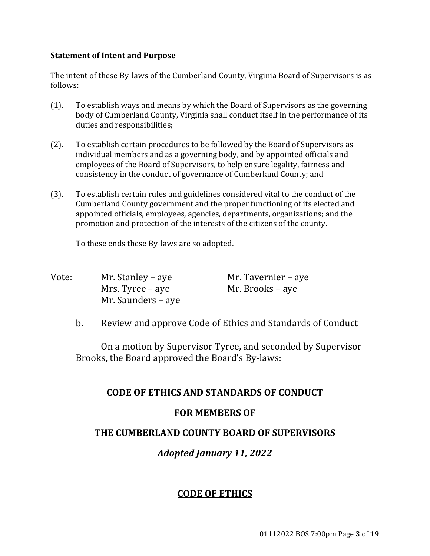#### **Statement of Intent and Purpose**

The intent of these By-laws of the Cumberland County, Virginia Board of Supervisors is as follows:

- (1). To establish ways and means by which the Board of Supervisors as the governing body of Cumberland County, Virginia shall conduct itself in the performance of its duties and responsibilities;
- (2). To establish certain procedures to be followed by the Board of Supervisors as individual members and as a governing body, and by appointed officials and employees of the Board of Supervisors, to help ensure legality, fairness and consistency in the conduct of governance of Cumberland County; and
- (3). To establish certain rules and guidelines considered vital to the conduct of the Cumberland County government and the proper functioning of its elected and appointed officials, employees, agencies, departments, organizations; and the promotion and protection of the interests of the citizens of the county.

To these ends these By-laws are so adopted.

| Vote: | Mr. Stanley – aye  | Mr. Tavernier – aye |
|-------|--------------------|---------------------|
|       | Mrs. Tyree – aye   | Mr. Brooks – aye    |
|       | Mr. Saunders – aye |                     |

b. Review and approve Code of Ethics and Standards of Conduct

On a motion by Supervisor Tyree, and seconded by Supervisor Brooks, the Board approved the Board's By-laws:

#### **CODE OF ETHICS AND STANDARDS OF CONDUCT**

#### **FOR MEMBERS OF**

#### **THE CUMBERLAND COUNTY BOARD OF SUPERVISORS**

### *Adopted January 11, 2022*

#### **CODE OF ETHICS**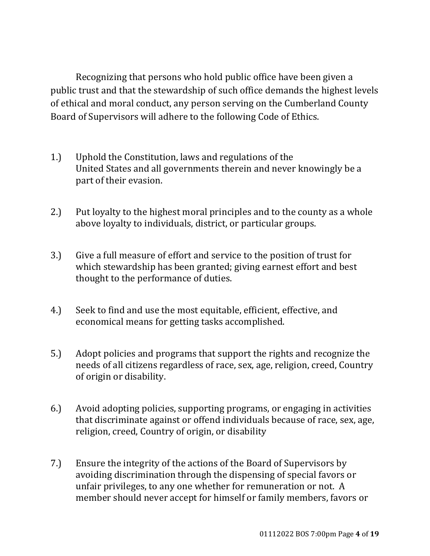Recognizing that persons who hold public office have been given a public trust and that the stewardship of such office demands the highest levels of ethical and moral conduct, any person serving on the Cumberland County Board of Supervisors will adhere to the following Code of Ethics.

- 1.) Uphold the Constitution, laws and regulations of the United States and all governments therein and never knowingly be a part of their evasion.
- 2.) Put loyalty to the highest moral principles and to the county as a whole above loyalty to individuals, district, or particular groups.
- 3.) Give a full measure of effort and service to the position of trust for which stewardship has been granted; giving earnest effort and best thought to the performance of duties.
- 4.) Seek to find and use the most equitable, efficient, effective, and economical means for getting tasks accomplished.
- 5.) Adopt policies and programs that support the rights and recognize the needs of all citizens regardless of race, sex, age, religion, creed, Country of origin or disability.
- 6.) Avoid adopting policies, supporting programs, or engaging in activities that discriminate against or offend individuals because of race, sex, age, religion, creed, Country of origin, or disability
- 7.) Ensure the integrity of the actions of the Board of Supervisors by avoiding discrimination through the dispensing of special favors or unfair privileges, to any one whether for remuneration or not. A member should never accept for himself or family members, favors or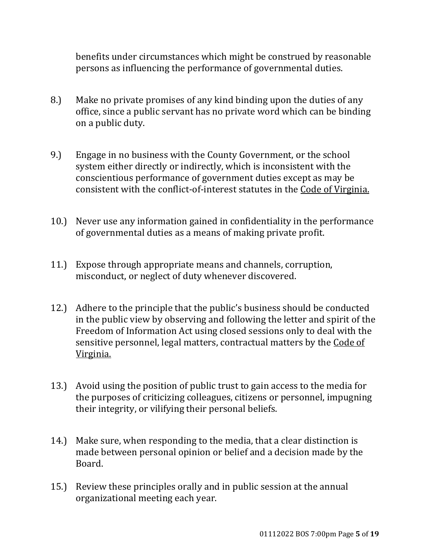benefits under circumstances which might be construed by reasonable persons as influencing the performance of governmental duties.

- 8.) Make no private promises of any kind binding upon the duties of any office, since a public servant has no private word which can be binding on a public duty.
- 9.) Engage in no business with the County Government, or the school system either directly or indirectly, which is inconsistent with the conscientious performance of government duties except as may be consistent with the conflict-of-interest statutes in the Code of Virginia.
- 10.) Never use any information gained in confidentiality in the performance of governmental duties as a means of making private profit.
- 11.) Expose through appropriate means and channels, corruption, misconduct, or neglect of duty whenever discovered.
- 12.) Adhere to the principle that the public's business should be conducted in the public view by observing and following the letter and spirit of the Freedom of Information Act using closed sessions only to deal with the sensitive personnel, legal matters, contractual matters by the Code of Virginia.
- 13.) Avoid using the position of public trust to gain access to the media for the purposes of criticizing colleagues, citizens or personnel, impugning their integrity, or vilifying their personal beliefs.
- 14.) Make sure, when responding to the media, that a clear distinction is made between personal opinion or belief and a decision made by the Board.
- 15.) Review these principles orally and in public session at the annual organizational meeting each year.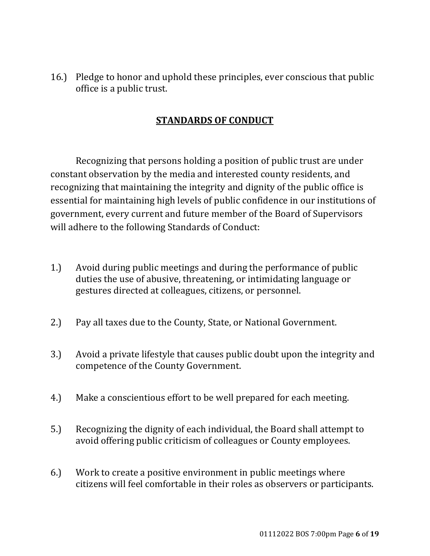16.) Pledge to honor and uphold these principles, ever conscious that public office is a public trust.

## **STANDARDS OF CONDUCT**

 Recognizing that persons holding a position of public trust are under constant observation by the media and interested county residents, and recognizing that maintaining the integrity and dignity of the public office is essential for maintaining high levels of public confidence in our institutions of government, every current and future member of the Board of Supervisors will adhere to the following Standards of Conduct:

- 1.) Avoid during public meetings and during the performance of public duties the use of abusive, threatening, or intimidating language or gestures directed at colleagues, citizens, or personnel.
- 2.) Pay all taxes due to the County, State, or National Government.
- 3.) Avoid a private lifestyle that causes public doubt upon the integrity and competence of the County Government.
- 4.) Make a conscientious effort to be well prepared for each meeting.
- 5.) Recognizing the dignity of each individual, the Board shall attempt to avoid offering public criticism of colleagues or County employees.
- 6.) Work to create a positive environment in public meetings where citizens will feel comfortable in their roles as observers or participants.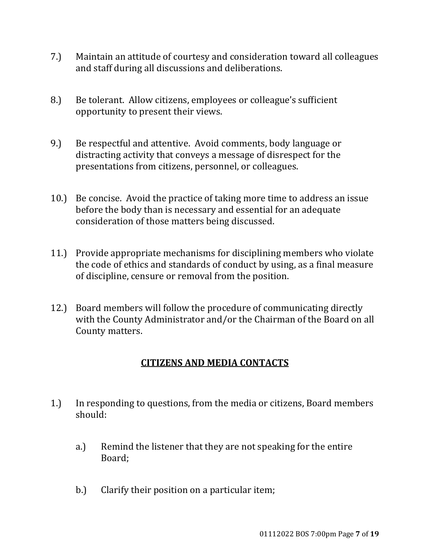- 7.) Maintain an attitude of courtesy and consideration toward all colleagues and staff during all discussions and deliberations.
- 8.) Be tolerant. Allow citizens, employees or colleague's sufficient opportunity to present their views.
- 9.) Be respectful and attentive. Avoid comments, body language or distracting activity that conveys a message of disrespect for the presentations from citizens, personnel, or colleagues.
- 10.) Be concise. Avoid the practice of taking more time to address an issue before the body than is necessary and essential for an adequate consideration of those matters being discussed.
- 11.) Provide appropriate mechanisms for disciplining members who violate the code of ethics and standards of conduct by using, as a final measure of discipline, censure or removal from the position.
- 12.) Board members will follow the procedure of communicating directly with the County Administrator and/or the Chairman of the Board on all County matters.

## **CITIZENS AND MEDIA CONTACTS**

- 1.) In responding to questions, from the media or citizens, Board members should:
	- a.) Remind the listener that they are not speaking for the entire Board;
	- b.) Clarify their position on a particular item;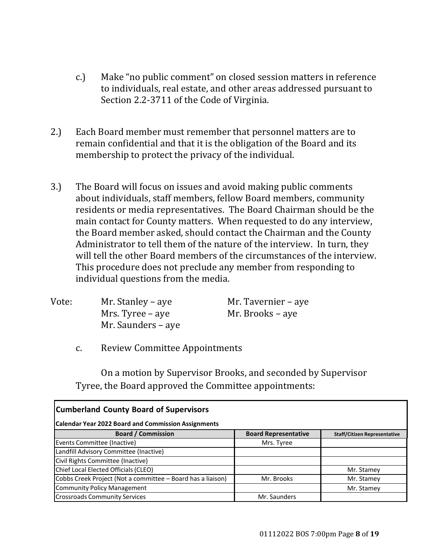- c.) Make "no public comment" on closed session matters in reference to individuals, real estate, and other areas addressed pursuant to Section 2.2-3711 of the Code of Virginia.
- 2.) Each Board member must remember that personnel matters are to remain confidential and that it is the obligation of the Board and its membership to protect the privacy of the individual.
- 3.) The Board will focus on issues and avoid making public comments about individuals, staff members, fellow Board members, community residents or media representatives. The Board Chairman should be the main contact for County matters. When requested to do any interview, the Board member asked, should contact the Chairman and the County Administrator to tell them of the nature of the interview. In turn, they will tell the other Board members of the circumstances of the interview. This procedure does not preclude any member from responding to individual questions from the media.

| Vote: | Mr. Stanley – aye  | Mr. Tavernier – aye |
|-------|--------------------|---------------------|
|       | Mrs. Tyree – aye   | Mr. Brooks – aye    |
|       | Mr. Saunders – aye |                     |

c. Review Committee Appointments

On a motion by Supervisor Brooks, and seconded by Supervisor Tyree, the Board approved the Committee appointments:

| <b>Cumberland County Board of Supervisors</b>               |                             |                                     |
|-------------------------------------------------------------|-----------------------------|-------------------------------------|
| <b>Calendar Year 2022 Board and Commission Assignments</b>  |                             |                                     |
| <b>Board / Commission</b>                                   | <b>Board Representative</b> | <b>Staff/Citizen Representative</b> |
| Events Committee (Inactive)                                 | Mrs. Tyree                  |                                     |
| Landfill Advisory Committee (Inactive)                      |                             |                                     |
| Civil Rights Committee (Inactive)                           |                             |                                     |
| Chief Local Elected Officials (CLEO)                        |                             | Mr. Stamey                          |
| Cobbs Creek Project (Not a committee - Board has a liaison) | Mr. Brooks                  | Mr. Stamey                          |
| <b>Community Policy Management</b>                          |                             | Mr. Stamey                          |
| <b>Crossroads Community Services</b>                        | Mr. Saunders                |                                     |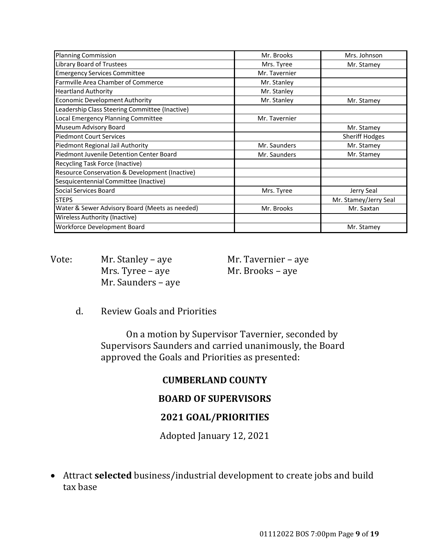| <b>Planning Commission</b>                     | Mr. Brooks    | Mrs. Johnson          |
|------------------------------------------------|---------------|-----------------------|
| Library Board of Trustees                      | Mrs. Tyree    | Mr. Stamey            |
| <b>Emergency Services Committee</b>            | Mr. Tavernier |                       |
| <b>Farmville Area Chamber of Commerce</b>      | Mr. Stanley   |                       |
| <b>Heartland Authority</b>                     | Mr. Stanley   |                       |
| <b>Economic Development Authority</b>          | Mr. Stanley   | Mr. Stamey            |
| Leadership Class Steering Committee (Inactive) |               |                       |
| Local Emergency Planning Committee             | Mr. Tavernier |                       |
| Museum Advisory Board                          |               | Mr. Stamey            |
| <b>Piedmont Court Services</b>                 |               | <b>Sheriff Hodges</b> |
| Piedmont Regional Jail Authority               | Mr. Saunders  | Mr. Stamey            |
| Piedmont Juvenile Detention Center Board       | Mr. Saunders  | Mr. Stamey            |
| Recycling Task Force (Inactive)                |               |                       |
| Resource Conservation & Development (Inactive) |               |                       |
| Sesquicentennial Committee (Inactive)          |               |                       |
| Social Services Board                          | Mrs. Tyree    | Jerry Seal            |
| <b>STEPS</b>                                   |               | Mr. Stamey/Jerry Seal |
| Water & Sewer Advisory Board (Meets as needed) | Mr. Brooks    | Mr. Saxtan            |
| <b>Wireless Authority (Inactive)</b>           |               |                       |
| Workforce Development Board                    |               | Mr. Stamey            |

Vote: Mr. Stanley – aye Mr. Tavernier – aye Mrs. Tyree – aye Mr. Brooks – aye Mr. Saunders – aye

d. Review Goals and Priorities

On a motion by Supervisor Tavernier, seconded by Supervisors Saunders and carried unanimously, the Board approved the Goals and Priorities as presented:

### **CUMBERLAND COUNTY**

### **BOARD OF SUPERVISORS**

### **2021 GOAL/PRIORITIES**

Adopted January 12, 2021

 Attract **selected** business/industrial development to create jobs and build tax base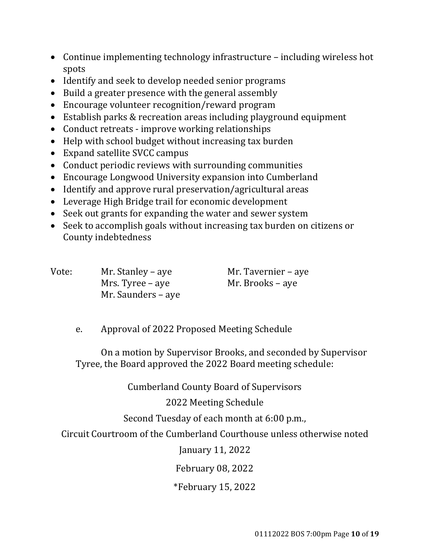- Continue implementing technology infrastructure including wireless hot spots
- Identify and seek to develop needed senior programs
- Build a greater presence with the general assembly
- Encourage volunteer recognition/reward program
- Establish parks & recreation areas including playground equipment
- Conduct retreats improve working relationships
- Help with school budget without increasing tax burden
- Expand satellite SVCC campus
- Conduct periodic reviews with surrounding communities
- Encourage Longwood University expansion into Cumberland
- Identify and approve rural preservation/agricultural areas
- Leverage High Bridge trail for economic development
- Seek out grants for expanding the water and sewer system
- Seek to accomplish goals without increasing tax burden on citizens or County indebtedness

| Vote: | Mr. Stanley – aye  | Mr. Tavernier – aye |
|-------|--------------------|---------------------|
|       | Mrs. Tyree – aye   | Mr. Brooks – aye    |
|       | Mr. Saunders – aye |                     |

e. Approval of 2022 Proposed Meeting Schedule

On a motion by Supervisor Brooks, and seconded by Supervisor Tyree, the Board approved the 2022 Board meeting schedule:

Cumberland County Board of Supervisors

2022 Meeting Schedule

Second Tuesday of each month at 6:00 p.m.,

Circuit Courtroom of the Cumberland Courthouse unless otherwise noted

January 11, 2022

February 08, 2022

\*February 15, 2022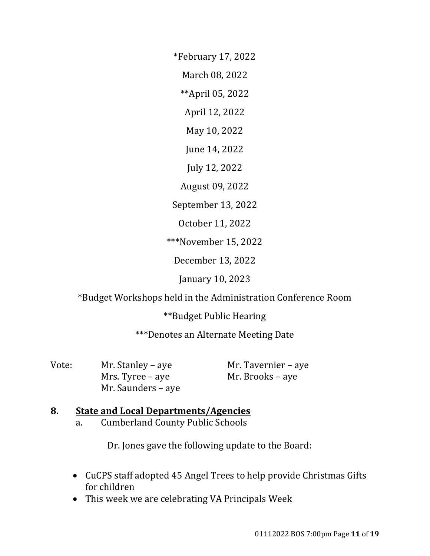\*February 17, 2022

March 08, 2022

\*\*April 05, 2022

April 12, 2022

May 10, 2022

June 14, 2022

July 12, 2022

August 09, 2022

September 13, 2022

October 11, 2022

\*\*\*November 15, 2022

December 13, 2022

January 10, 2023

\*Budget Workshops held in the Administration Conference Room

\*\*Budget Public Hearing

\*\*\*Denotes an Alternate Meeting Date

Vote: Mr. Stanley – aye Mr. Tavernier – aye Mrs. Tyree – aye Mr. Brooks – aye Mr. Saunders – aye

# **8. State and Local Departments/Agencies**

a. Cumberland County Public Schools

Dr. Jones gave the following update to the Board:

- CuCPS staff adopted 45 Angel Trees to help provide Christmas Gifts for children
- This week we are celebrating VA Principals Week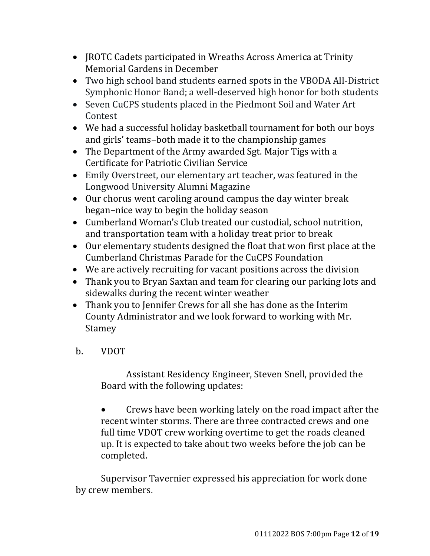- JROTC Cadets participated in Wreaths Across America at Trinity Memorial Gardens in December
- Two high school band students earned spots in the VBODA All-District Symphonic Honor Band; a well-deserved high honor for both students
- Seven CuCPS students placed in the Piedmont Soil and Water Art Contest
- We had a successful holiday basketball tournament for both our boys and girls' teams–both made it to the championship games
- The Department of the Army awarded Sgt. Major Tigs with a Certificate for Patriotic Civilian Service
- Emily Overstreet, our elementary art teacher, was featured in the Longwood University Alumni Magazine
- Our chorus went caroling around campus the day winter break began–nice way to begin the holiday season
- Cumberland Woman's Club treated our custodial, school nutrition, and transportation team with a holiday treat prior to break
- Our elementary students designed the float that won first place at the Cumberland Christmas Parade for the CuCPS Foundation
- We are actively recruiting for vacant positions across the division
- Thank you to Bryan Saxtan and team for clearing our parking lots and sidewalks during the recent winter weather
- Thank you to Jennifer Crews for all she has done as the Interim County Administrator and we look forward to working with Mr. Stamey
- b. VDOT

Assistant Residency Engineer, Steven Snell, provided the Board with the following updates:

 Crews have been working lately on the road impact after the recent winter storms. There are three contracted crews and one full time VDOT crew working overtime to get the roads cleaned up. It is expected to take about two weeks before the job can be completed.

Supervisor Tavernier expressed his appreciation for work done by crew members.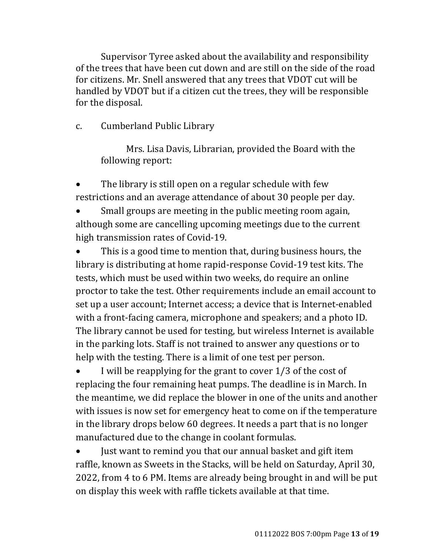Supervisor Tyree asked about the availability and responsibility of the trees that have been cut down and are still on the side of the road for citizens. Mr. Snell answered that any trees that VDOT cut will be handled by VDOT but if a citizen cut the trees, they will be responsible for the disposal.

## c. Cumberland Public Library

Mrs. Lisa Davis, Librarian, provided the Board with the following report:

 The library is still open on a regular schedule with few restrictions and an average attendance of about 30 people per day.

 Small groups are meeting in the public meeting room again, although some are cancelling upcoming meetings due to the current high transmission rates of Covid-19.

 This is a good time to mention that, during business hours, the library is distributing at home rapid-response Covid-19 test kits. The tests, which must be used within two weeks, do require an online proctor to take the test. Other requirements include an email account to set up a user account; Internet access; a device that is Internet-enabled with a front-facing camera, microphone and speakers; and a photo ID. The library cannot be used for testing, but wireless Internet is available in the parking lots. Staff is not trained to answer any questions or to help with the testing. There is a limit of one test per person.

 I will be reapplying for the grant to cover 1/3 of the cost of replacing the four remaining heat pumps. The deadline is in March. In the meantime, we did replace the blower in one of the units and another with issues is now set for emergency heat to come on if the temperature in the library drops below 60 degrees. It needs a part that is no longer manufactured due to the change in coolant formulas.

 Just want to remind you that our annual basket and gift item raffle, known as Sweets in the Stacks, will be held on Saturday, April 30, 2022, from 4 to 6 PM. Items are already being brought in and will be put on display this week with raffle tickets available at that time.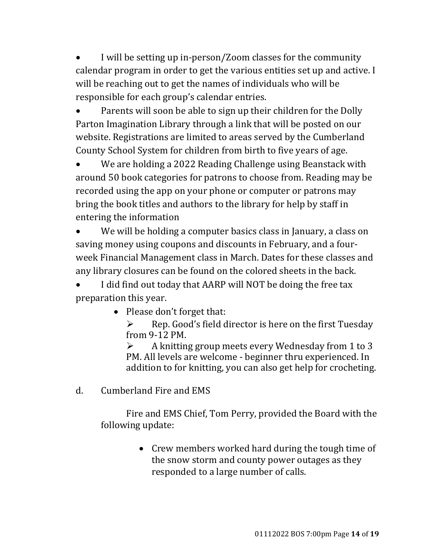I will be setting up in-person/Zoom classes for the community calendar program in order to get the various entities set up and active. I will be reaching out to get the names of individuals who will be responsible for each group's calendar entries.

 Parents will soon be able to sign up their children for the Dolly Parton Imagination Library through a link that will be posted on our website. Registrations are limited to areas served by the Cumberland County School System for children from birth to five years of age.

 We are holding a 2022 Reading Challenge using Beanstack with around 50 book categories for patrons to choose from. Reading may be recorded using the app on your phone or computer or patrons may bring the book titles and authors to the library for help by staff in entering the information

 We will be holding a computer basics class in January, a class on saving money using coupons and discounts in February, and a fourweek Financial Management class in March. Dates for these classes and any library closures can be found on the colored sheets in the back.

 I did find out today that AARP will NOT be doing the free tax preparation this year.

• Please don't forget that:

 $\triangleright$  Rep. Good's field director is here on the first Tuesday from 9-12 PM.

 A knitting group meets every Wednesday from 1 to 3 PM. All levels are welcome - beginner thru experienced. In addition to for knitting, you can also get help for crocheting.

d. Cumberland Fire and EMS

Fire and EMS Chief, Tom Perry, provided the Board with the following update:

> • Crew members worked hard during the tough time of the snow storm and county power outages as they responded to a large number of calls.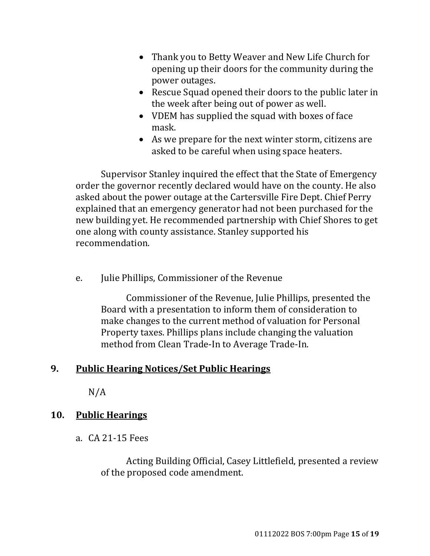- Thank you to Betty Weaver and New Life Church for opening up their doors for the community during the power outages.
- Rescue Squad opened their doors to the public later in the week after being out of power as well.
- VDEM has supplied the squad with boxes of face mask.
- As we prepare for the next winter storm, citizens are asked to be careful when using space heaters.

Supervisor Stanley inquired the effect that the State of Emergency order the governor recently declared would have on the county. He also asked about the power outage at the Cartersville Fire Dept. Chief Perry explained that an emergency generator had not been purchased for the new building yet. He recommended partnership with Chief Shores to get one along with county assistance. Stanley supported his recommendation.

e. Julie Phillips, Commissioner of the Revenue

Commissioner of the Revenue, Julie Phillips, presented the Board with a presentation to inform them of consideration to make changes to the current method of valuation for Personal Property taxes. Phillips plans include changing the valuation method from Clean Trade-In to Average Trade-In.

## **9. Public Hearing Notices/Set Public Hearings**

N/A

## **10. Public Hearings**

a. CA 21-15 Fees

Acting Building Official, Casey Littlefield, presented a review of the proposed code amendment.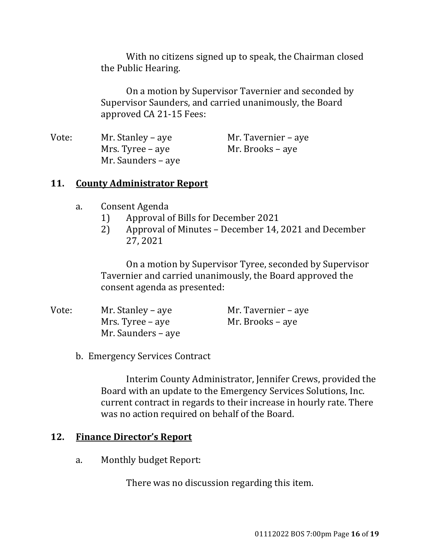With no citizens signed up to speak, the Chairman closed the Public Hearing.

On a motion by Supervisor Tavernier and seconded by Supervisor Saunders, and carried unanimously, the Board approved CA 21-15 Fees:

| Vote: | Mr. Stanley – aye  | Mr. Tavernier – aye |
|-------|--------------------|---------------------|
|       | Mrs. Tyree – aye   | Mr. Brooks – aye    |
|       | Mr. Saunders – aye |                     |

### **11. County Administrator Report**

- a. Consent Agenda
	- 1) Approval of Bills for December 2021
	- 2) Approval of Minutes December 14, 2021 and December 27, 2021

On a motion by Supervisor Tyree, seconded by Supervisor Tavernier and carried unanimously, the Board approved the consent agenda as presented:

| Vote: | Mr. Stanley – aye  | Mr. Tavernier – aye |
|-------|--------------------|---------------------|
|       | Mrs. Tyree – aye   | Mr. Brooks – aye    |
|       | Mr. Saunders – aye |                     |

b. Emergency Services Contract

Interim County Administrator, Jennifer Crews, provided the Board with an update to the Emergency Services Solutions, Inc. current contract in regards to their increase in hourly rate. There was no action required on behalf of the Board.

#### **12. Finance Director's Report**

a. Monthly budget Report:

There was no discussion regarding this item.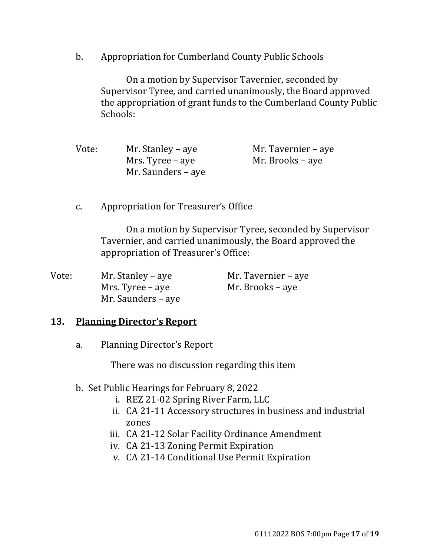b. Appropriation for Cumberland County Public Schools

On a motion by Supervisor Tavernier, seconded by Supervisor Tyree, and carried unanimously, the Board approved the appropriation of grant funds to the Cumberland County Public Schools:

| Vote: | Mr. Stanley – aye  | Mr. Tavernier – aye |
|-------|--------------------|---------------------|
|       | Mrs. Tyree – aye   | Mr. Brooks – aye    |
|       | Mr. Saunders – aye |                     |

c. Appropriation for Treasurer's Office

On a motion by Supervisor Tyree, seconded by Supervisor Tavernier, and carried unanimously, the Board approved the appropriation of Treasurer's Office:

| Vote: | Mr. Stanley – aye  | Mr. Tavernier – aye |
|-------|--------------------|---------------------|
|       | Mrs. Tyree – aye   | Mr. Brooks – aye    |
|       | Mr. Saunders – aye |                     |

### **13. Planning Director's Report**

a. Planning Director's Report

There was no discussion regarding this item

- b. Set Public Hearings for February 8, 2022
	- i. REZ 21-02 Spring River Farm, LLC
	- ii. CA 21-11 Accessory structures in business and industrial zones
	- iii. CA 21-12 Solar Facility Ordinance Amendment
	- iv. CA 21-13 Zoning Permit Expiration
	- v. CA 21-14 Conditional Use Permit Expiration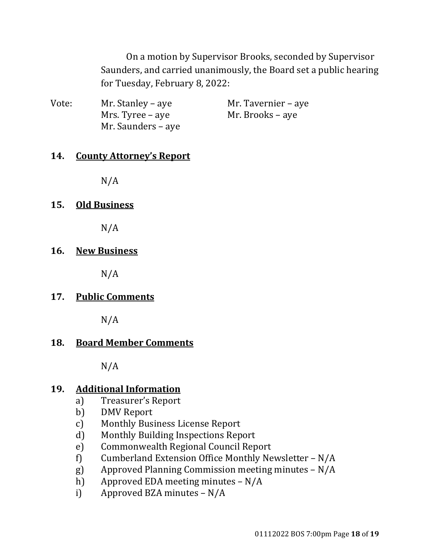On a motion by Supervisor Brooks, seconded by Supervisor Saunders, and carried unanimously, the Board set a public hearing for Tuesday, February 8, 2022:

| Vote: | Mr. Stanley – aye  | Mr. Tavernier – aye |
|-------|--------------------|---------------------|
|       | Mrs. Tyree – aye   | Mr. Brooks – aye    |
|       | Mr. Saunders – aye |                     |

### **14. County Attorney's Report**

 $N/A$ 

### **15. Old Business**

N/A

### **16. New Business**

N/A

## **17. Public Comments**

N/A

### **18. Board Member Comments**

N/A

### **19. Additional Information**

- a) Treasurer's Report
- b) DMV Report
- c) Monthly Business License Report
- d) Monthly Building Inspections Report
- e) Commonwealth Regional Council Report
- f) Cumberland Extension Office Monthly Newsletter N/A
- g) Approved Planning Commission meeting minutes N/A
- h) Approved EDA meeting minutes N/A
- i) Approved BZA minutes N/A